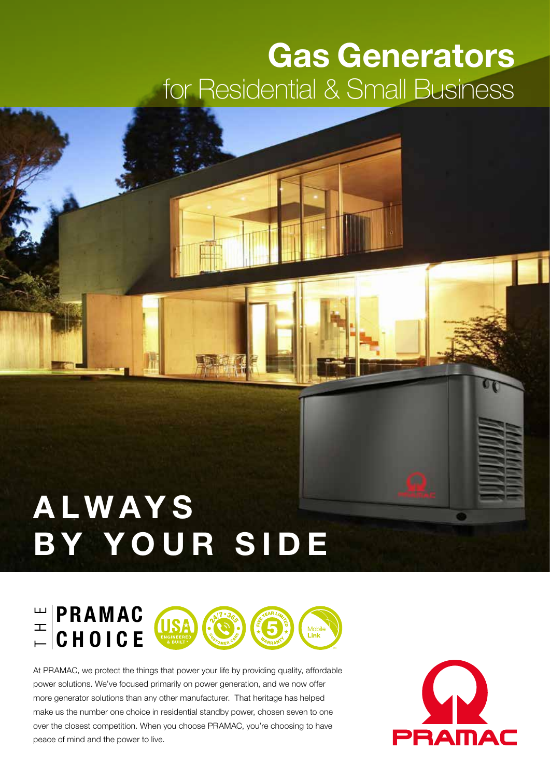## **Gas Generators** for Residential & Small Business

# **ALWAYS BY YOUR SIDE**



At PRAMAC, we protect the things that power your life by providing quality, affordable power solutions. We've focused primarily on power generation, and we now offer more generator solutions than any other manufacturer. That heritage has helped make us the number one choice in residential standby power, chosen seven to one over the closest competition. When you choose PRAMAC, you're choosing to have peace of mind and the power to live.